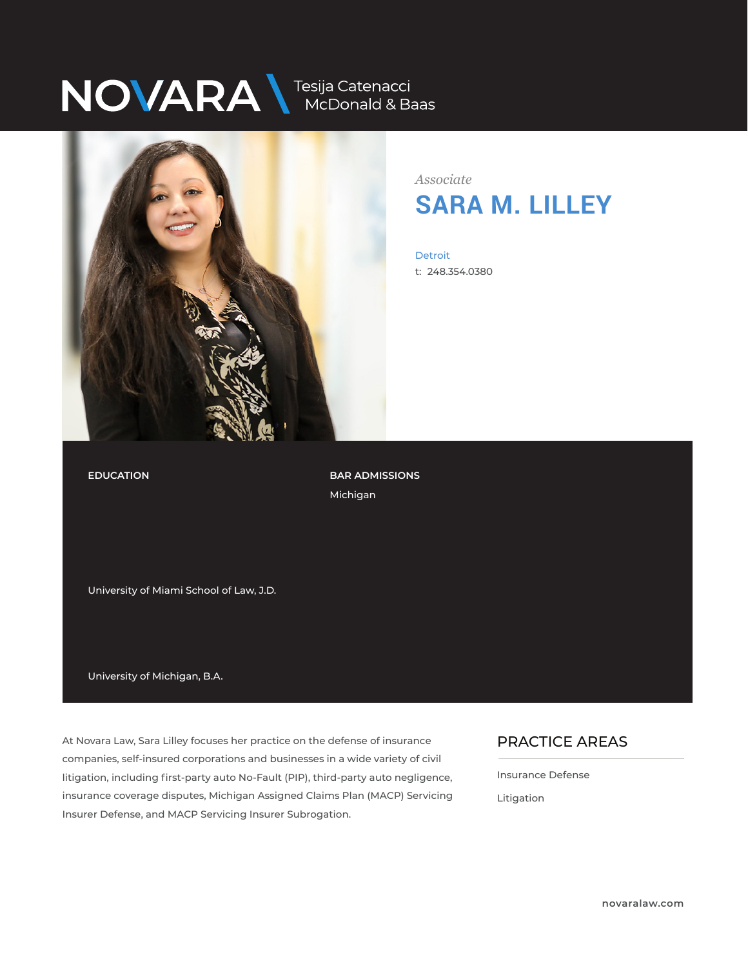# NOVARA MEDONALA Baas



*Associate* **SARA M. LILLEY**

Detroit t: 248.354.0380

### **EDUCATION**

**BAR ADMISSIONS** Michigan

University of Miami School of Law, J.D.

University of Michigan, B.A.

At Novara Law, Sara Lilley focuses her practice on the defense of insurance companies, self-insured corporations and businesses in a wide variety of civil litigation, including first-party auto No-Fault (PIP), third-party auto negligence, insurance coverage disputes, Michigan Assigned Claims Plan (MACP) Servicing Insurer Defense, and MACP Servicing Insurer Subrogation.

### PRACTICE AREAS  $\overline{\phantom{a}}$

Insurance Defense

Litigation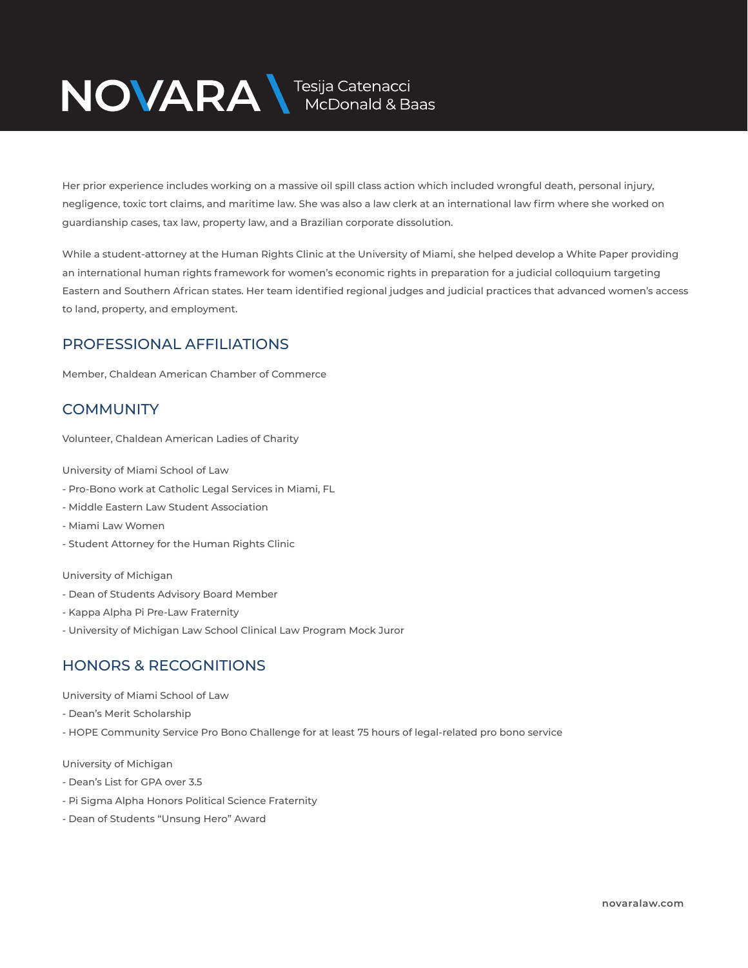# NOVARA MEDOnald & Baas

Her prior experience includes working on a massive oil spill class action which included wrongful death, personal injury, negligence, toxic tort claims, and maritime law. She was also a law clerk at an international law firm where she worked on guardianship cases, tax law, property law, and a Brazilian corporate dissolution.

While a student-attorney at the Human Rights Clinic at the University of Miami, she helped develop a White Paper providing an international human rights framework for women's economic rights in preparation for a judicial colloquium targeting Eastern and Southern African states. Her team identified regional judges and judicial practices that advanced women's access to land, property, and employment.

### PROFESSIONAL AFFILIATIONS

Member, Chaldean American Chamber of Commerce

## **COMMUNITY**

Volunteer, Chaldean American Ladies of Charity

University of Miami School of Law

- Pro-Bono work at Catholic Legal Services in Miami, FL
- Middle Eastern Law Student Association
- Miami Law Women
- Student Attorney for the Human Rights Clinic

University of Michigan

- Dean of Students Advisory Board Member
- Kappa Alpha Pi Pre-Law Fraternity
- University of Michigan Law School Clinical Law Program Mock Juror

## HONORS & RECOGNITIONS

University of Miami School of Law

- Dean's Merit Scholarship
- HOPE Community Service Pro Bono Challenge for at least 75 hours of legal-related pro bono service

University of Michigan

- Dean's List for GPA over 3.5
- Pi Sigma Alpha Honors Political Science Fraternity
- Dean of Students "Unsung Hero" Award